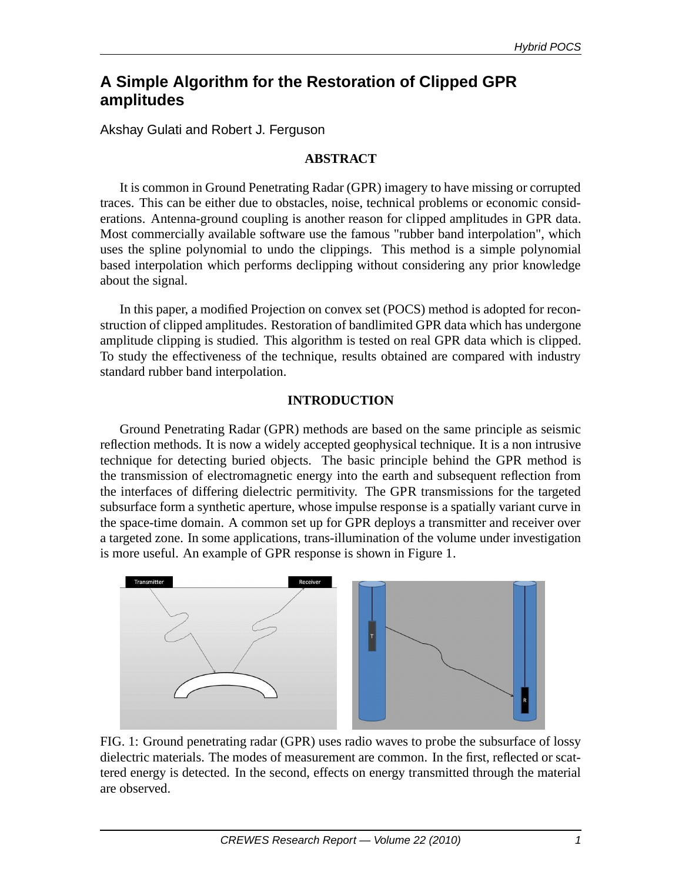# **A Simple Algorithm for the Restoration of Clipped GPR amplitudes**

Akshay Gulati and Robert J. Ferguson

## **ABSTRACT**

It is common in Ground Penetrating Radar (GPR) imagery to have missing or corrupted traces. This can be either due to obstacles, noise, technical problems or economic considerations. Antenna-ground coupling is another reason for clipped amplitudes in GPR data. Most commercially available software use the famous "rubber band interpolation", which uses the spline polynomial to undo the clippings. This method is a simple polynomial based interpolation which performs declipping without considering any prior knowledge about the signal.

In this paper, a modified Projection on convex set (POCS) method is adopted for reconstruction of clipped amplitudes. Restoration of bandlimited GPR data which has undergone amplitude clipping is studied. This algorithm is tested on real GPR data which is clipped. To study the effectiveness of the technique, results obtained are compared with industry standard rubber band interpolation.

## **INTRODUCTION**

Ground Penetrating Radar (GPR) methods are based on the same principle as seismic reflection methods. It is now a widely accepted geophysical technique. It is a non intrusive technique for detecting buried objects. The basic principle behind the GPR method is the transmission of electromagnetic energy into the earth and subsequent reflection from the interfaces of differing dielectric permitivity. The GPR transmissions for the targeted subsurface form a synthetic aperture, whose impulse response is a spatially variant curve in the space-time domain. A common set up for GPR deploys a transmitter and receiver over a targeted zone. In some applications, trans-illumination of the volume under investigation is more useful. An example of GPR response is shown in Figure 1.



FIG. 1: Ground penetrating radar (GPR) uses radio waves to probe the subsurface of lossy dielectric materials. The modes of measurement are common. In the first, reflected or scattered energy is detected. In the second, effects on energy transmitted through the material are observed.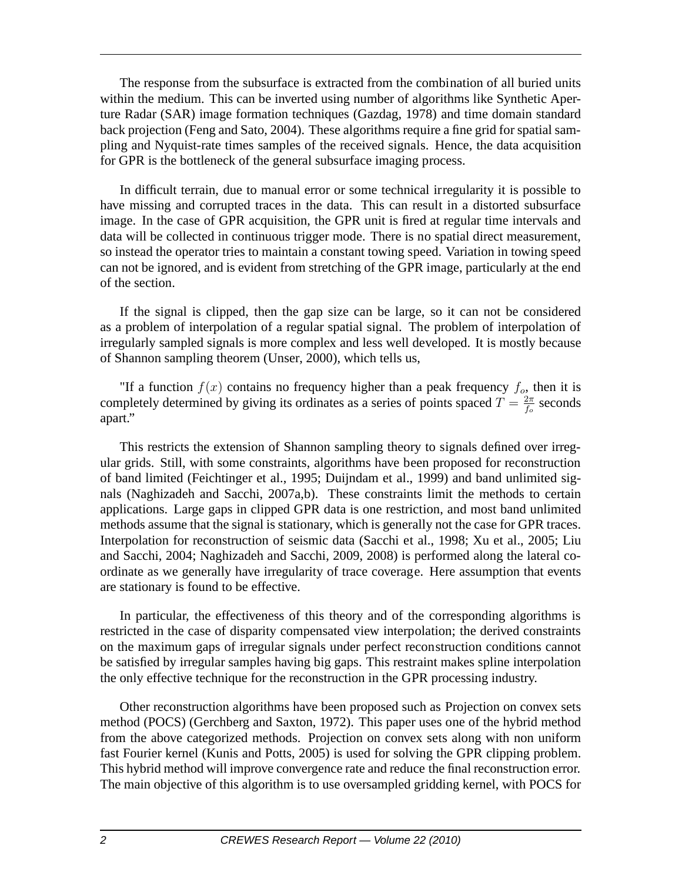The response from the subsurface is extracted from the combination of all buried units within the medium. This can be inverted using number of algorithms like Synthetic Aperture Radar (SAR) image formation techniques (Gazdag, 1978) and time domain standard back projection (Feng and Sato, 2004). These algorithms require a fine grid for spatial sampling and Nyquist-rate times samples of the received signals. Hence, the data acquisition for GPR is the bottleneck of the general subsurface imaging process.

In difficult terrain, due to manual error or some technical irregularity it is possible to have missing and corrupted traces in the data. This can result in a distorted subsurface image. In the case of GPR acquisition, the GPR unit is fired at regular time intervals and data will be collected in continuous trigger mode. There is no spatial direct measurement, so instead the operator tries to maintain a constant towing speed. Variation in towing speed can not be ignored, and is evident from stretching of the GPR image, particularly at the end of the section.

If the signal is clipped, then the gap size can be large, so it can not be considered as a problem of interpolation of a regular spatial signal. The problem of interpolation of irregularly sampled signals is more complex and less well developed. It is mostly because of Shannon sampling theorem (Unser, 2000), which tells us,

"If a function  $f(x)$  contains no frequency higher than a peak frequency  $f_o$ , then it is completely determined by giving its ordinates as a series of points spaced  $T = \frac{2\pi}{f}$  $\frac{2\pi}{f_o}$  seconds apart."

This restricts the extension of Shannon sampling theory to signals defined over irregular grids. Still, with some constraints, algorithms have been proposed for reconstruction of band limited (Feichtinger et al., 1995; Duijndam et al., 1999) and band unlimited signals (Naghizadeh and Sacchi, 2007a,b). These constraints limit the methods to certain applications. Large gaps in clipped GPR data is one restriction, and most band unlimited methods assume that the signal is stationary, which is generally not the case for GPR traces. Interpolation for reconstruction of seismic data (Sacchi et al., 1998; Xu et al., 2005; Liu and Sacchi, 2004; Naghizadeh and Sacchi, 2009, 2008) is performed along the lateral coordinate as we generally have irregularity of trace coverage. Here assumption that events are stationary is found to be effective.

In particular, the effectiveness of this theory and of the corresponding algorithms is restricted in the case of disparity compensated view interpolation; the derived constraints on the maximum gaps of irregular signals under perfect reconstruction conditions cannot be satisfied by irregular samples having big gaps. This restraint makes spline interpolation the only effective technique for the reconstruction in the GPR processing industry.

Other reconstruction algorithms have been proposed such as Projection on convex sets method (POCS) (Gerchberg and Saxton, 1972). This paper uses one of the hybrid method from the above categorized methods. Projection on convex sets along with non uniform fast Fourier kernel (Kunis and Potts, 2005) is used for solving the GPR clipping problem. This hybrid method will improve convergence rate and reduce the final reconstruction error. The main objective of this algorithm is to use oversampled gridding kernel, with POCS for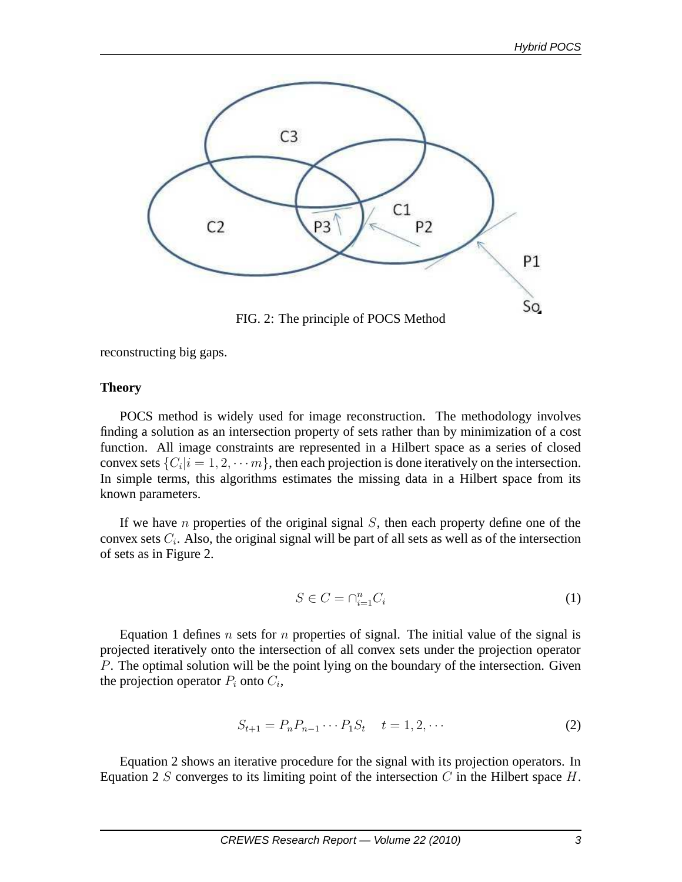

FIG. 2: The principle of POCS Method

reconstructing big gaps.

### **Theory**

POCS method is widely used for image reconstruction. The methodology involves finding a solution as an intersection property of sets rather than by minimization of a cost function. All image constraints are represented in a Hilbert space as a series of closed convex sets  $\{C_i | i = 1, 2, \cdots m\}$ , then each projection is done iteratively on the intersection. In simple terms, this algorithms estimates the missing data in a Hilbert space from its known parameters.

If we have *n* properties of the original signal  $S$ , then each property define one of the convex sets  $C_i$ . Also, the original signal will be part of all sets as well as of the intersection of sets as in Figure 2.

$$
S \in C = \cap_{i=1}^{n} C_i \tag{1}
$$

Equation 1 defines n sets for n properties of signal. The initial value of the signal is projected iteratively onto the intersection of all convex sets under the projection operator P. The optimal solution will be the point lying on the boundary of the intersection. Given the projection operator  $P_i$  onto  $C_i$ ,

$$
S_{t+1} = P_n P_{n-1} \cdots P_1 S_t \quad t = 1, 2, \cdots \tag{2}
$$

Equation 2 shows an iterative procedure for the signal with its projection operators. In Equation 2 S converges to its limiting point of the intersection  $C$  in the Hilbert space  $H$ .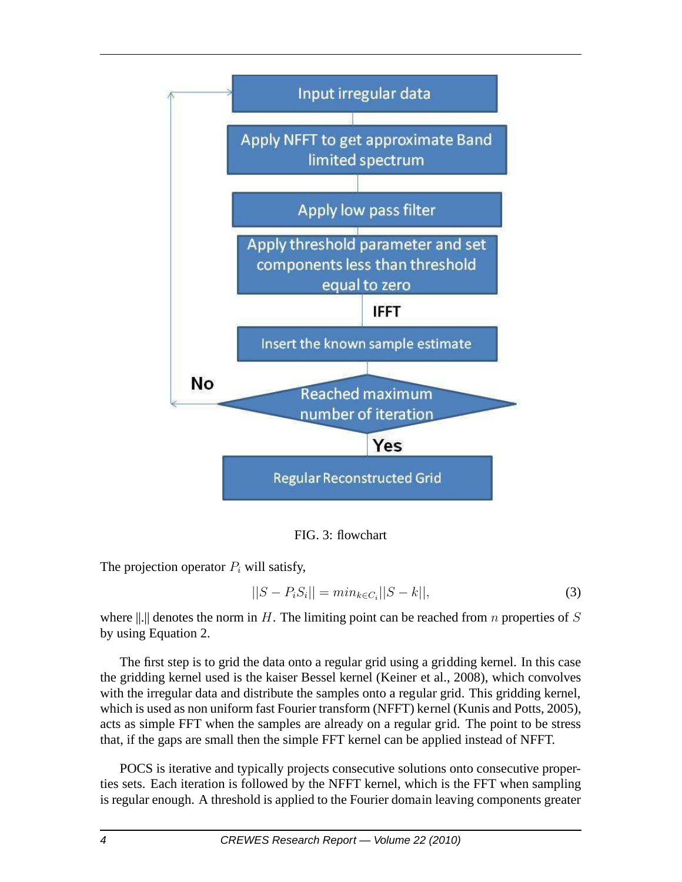

FIG. 3: flowchart

The projection operator  $P_i$  will satisfy,

$$
||S - P_i S_i|| = min_{k \in C_i} ||S - k||,
$$
\n(3)

where  $\Vert \cdot \Vert$  denotes the norm in H. The limiting point can be reached from n properties of S by using Equation 2.

The first step is to grid the data onto a regular grid using a gridding kernel. In this case the gridding kernel used is the kaiser Bessel kernel (Keiner et al., 2008), which convolves with the irregular data and distribute the samples onto a regular grid. This gridding kernel, which is used as non uniform fast Fourier transform (NFFT) kernel (Kunis and Potts, 2005), acts as simple FFT when the samples are already on a regular grid. The point to be stress that, if the gaps are small then the simple FFT kernel can be applied instead of NFFT.

POCS is iterative and typically projects consecutive solutions onto consecutive properties sets. Each iteration is followed by the NFFT kernel, which is the FFT when sampling is regular enough. A threshold is applied to the Fourier domain leaving components greater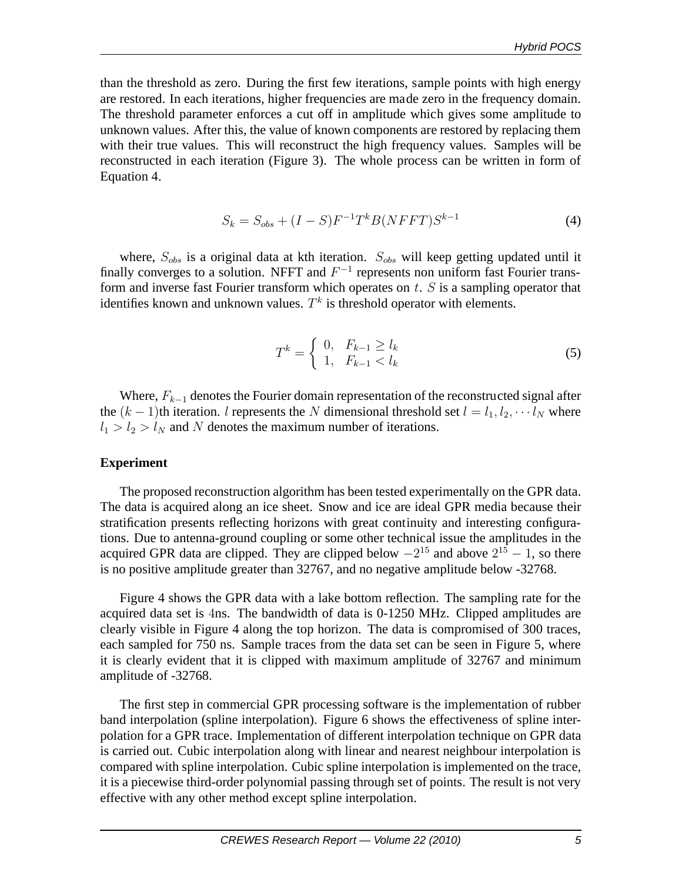than the threshold as zero. During the first few iterations, sample points with high energy are restored. In each iterations, higher frequencies are made zero in the frequency domain. The threshold parameter enforces a cut off in amplitude which gives some amplitude to unknown values. After this, the value of known components are restored by replacing them with their true values. This will reconstruct the high frequency values. Samples will be reconstructed in each iteration (Figure 3). The whole process can be written in form of Equation 4.

$$
S_k = S_{obs} + (I - S)F^{-1}T^k B(NFFT)S^{k-1}
$$
\n(4)

where,  $S_{obs}$  is a original data at kth iteration.  $S_{obs}$  will keep getting updated until it finally converges to a solution. NFFT and  $F^{-1}$  represents non uniform fast Fourier transform and inverse fast Fourier transform which operates on  $t$ .  $S$  is a sampling operator that identifies known and unknown values.  $T^k$  is threshold operator with elements.

$$
T^{k} = \begin{cases} 0, & F_{k-1} \ge l_k \\ 1, & F_{k-1} < l_k \end{cases}
$$
 (5)

Where,  $F_{k-1}$  denotes the Fourier domain representation of the reconstructed signal after the  $(k-1)$ th iteration. l represents the N dimensional threshold set  $l = l_1, l_2, \cdots l_N$  where  $l_1 > l_2 > l_N$  and N denotes the maximum number of iterations.

#### **Experiment**

The proposed reconstruction algorithm has been tested experimentally on the GPR data. The data is acquired along an ice sheet. Snow and ice are ideal GPR media because their stratification presents reflecting horizons with great continuity and interesting configurations. Due to antenna-ground coupling or some other technical issue the amplitudes in the acquired GPR data are clipped. They are clipped below  $-2^{15}$  and above  $2^{15} - 1$ , so there is no positive amplitude greater than 32767, and no negative amplitude below -32768.

Figure 4 shows the GPR data with a lake bottom reflection. The sampling rate for the acquired data set is 4ns. The bandwidth of data is 0-1250 MHz. Clipped amplitudes are clearly visible in Figure 4 along the top horizon. The data is compromised of 300 traces, each sampled for 750 ns. Sample traces from the data set can be seen in Figure 5, where it is clearly evident that it is clipped with maximum amplitude of 32767 and minimum amplitude of -32768.

The first step in commercial GPR processing software is the implementation of rubber band interpolation (spline interpolation). Figure 6 shows the effectiveness of spline interpolation for a GPR trace. Implementation of different interpolation technique on GPR data is carried out. Cubic interpolation along with linear and nearest neighbour interpolation is compared with spline interpolation. Cubic spline interpolation is implemented on the trace, it is a piecewise third-order polynomial passing through set of points. The result is not very effective with any other method except spline interpolation.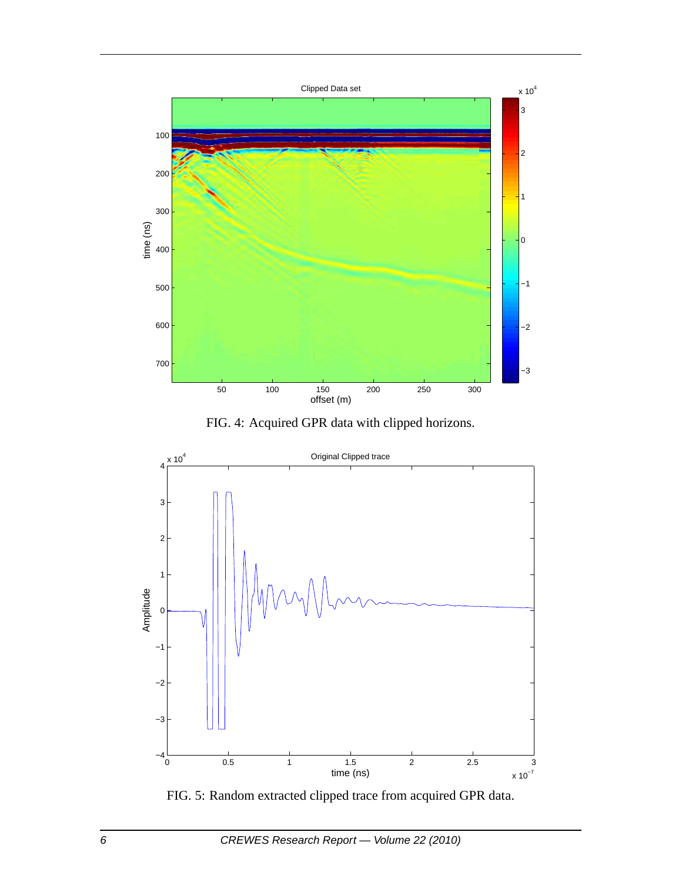

FIG. 4: Acquired GPR data with clipped horizons.



FIG. 5: Random extracted clipped trace from acquired GPR data.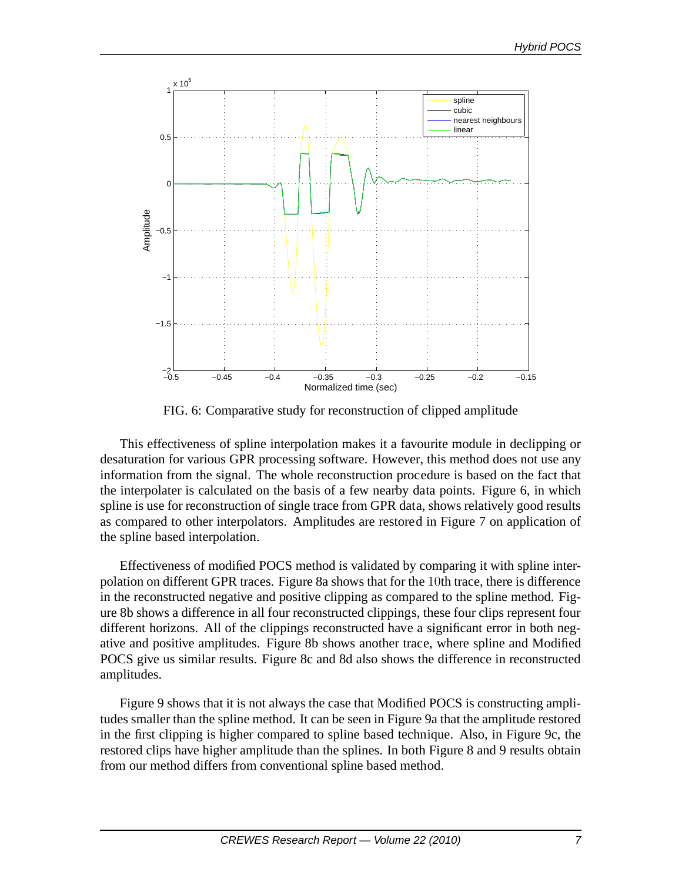

FIG. 6: Comparative study for reconstruction of clipped amplitude

This effectiveness of spline interpolation makes it a favourite module in declipping or desaturation for various GPR processing software. However, this method does not use any information from the signal. The whole reconstruction procedure is based on the fact that the interpolater is calculated on the basis of a few nearby data points. Figure 6, in which spline is use for reconstruction of single trace from GPR data, shows relatively good results as compared to other interpolators. Amplitudes are restored in Figure 7 on application of the spline based interpolation.

Effectiveness of modified POCS method is validated by comparing it with spline interpolation on different GPR traces. Figure 8a shows that for the 10th trace, there is difference in the reconstructed negative and positive clipping as compared to the spline method. Figure 8b shows a difference in all four reconstructed clippings, these four clips represent four different horizons. All of the clippings reconstructed have a significant error in both negative and positive amplitudes. Figure 8b shows another trace, where spline and Modified POCS give us similar results. Figure 8c and 8d also shows the difference in reconstructed amplitudes.

Figure 9 shows that it is not always the case that Modified POCS is constructing amplitudes smaller than the spline method. It can be seen in Figure 9a that the amplitude restored in the first clipping is higher compared to spline based technique. Also, in Figure 9c, the restored clips have higher amplitude than the splines. In both Figure 8 and 9 results obtain from our method differs from conventional spline based method.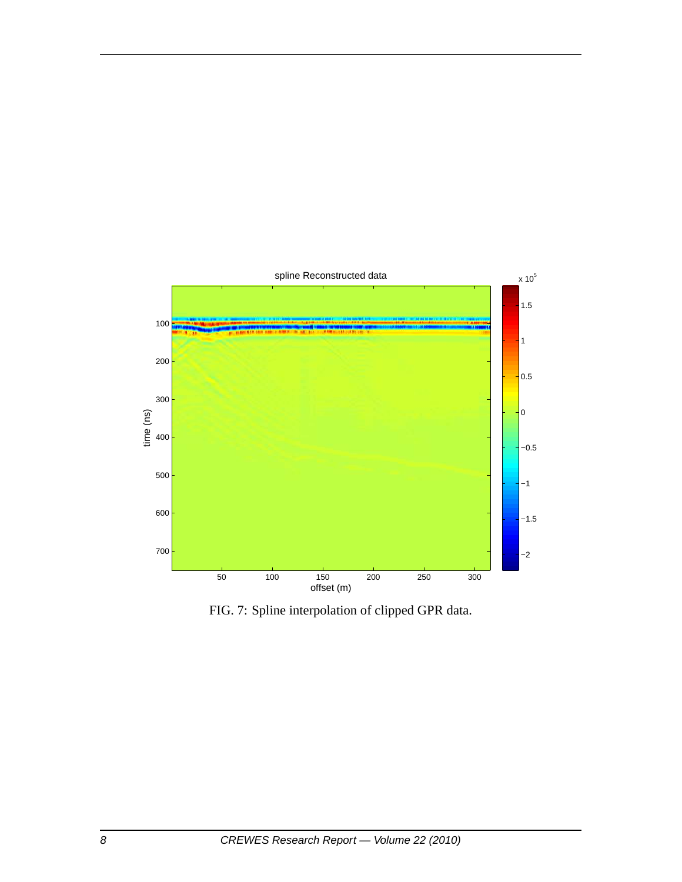

FIG. 7: Spline interpolation of clipped GPR data.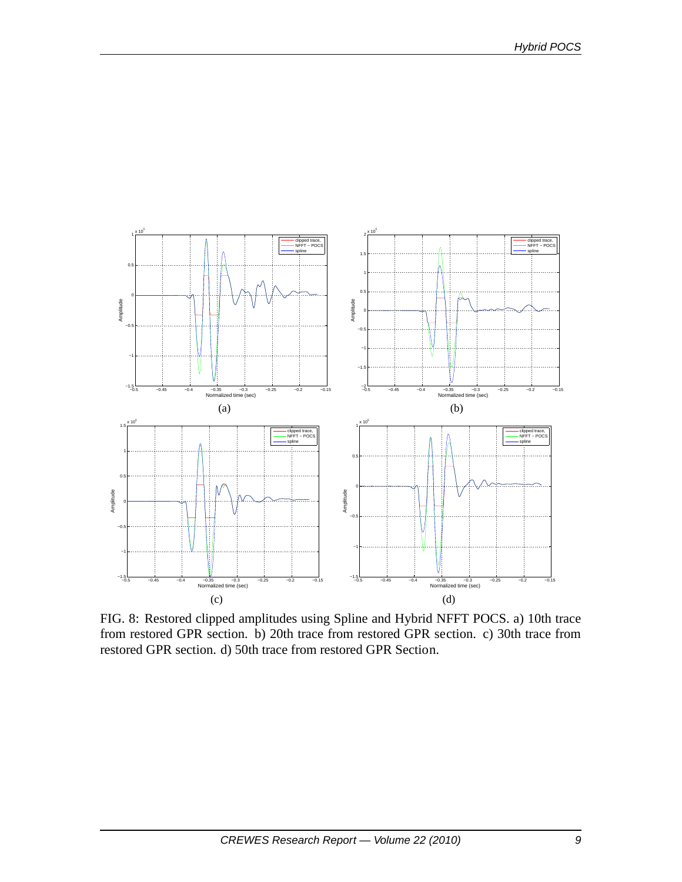

FIG. 8: Restored clipped amplitudes using Spline and Hybrid NFFT POCS. a) 10th trace from restored GPR section. b) 20th trace from restored GPR section. c) 30th trace from restored GPR section. d) 50th trace from restored GPR Section.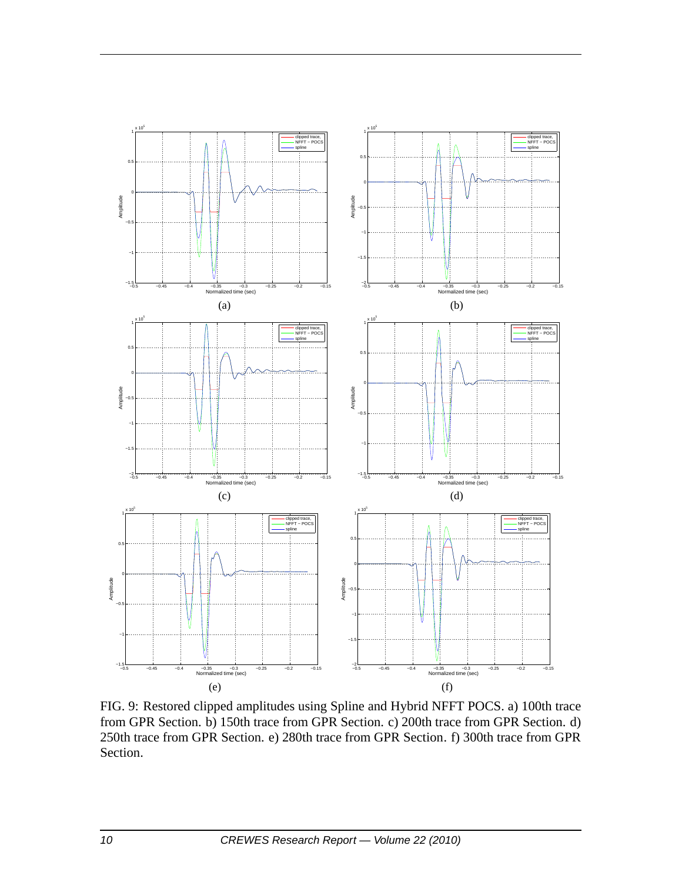

FIG. 9: Restored clipped amplitudes using Spline and Hybrid NFFT POCS. a) 100th trace from GPR Section. b) 150th trace from GPR Section. c) 200th trace from GPR Section. d) 250th trace from GPR Section. e) 280th trace from GPR Section. f) 300th trace from GPR Section.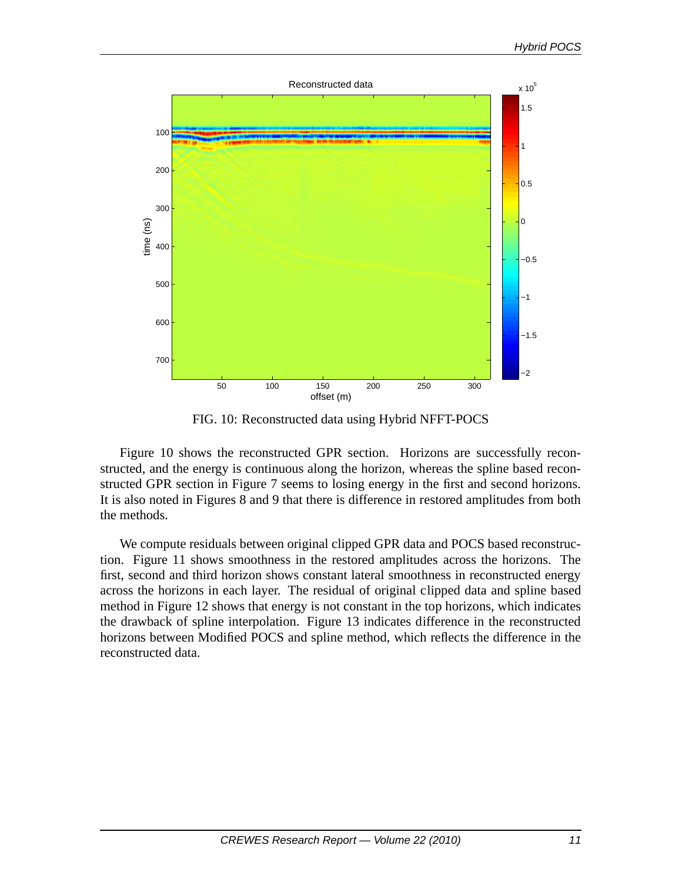

FIG. 10: Reconstructed data using Hybrid NFFT-POCS

Figure 10 shows the reconstructed GPR section. Horizons are successfully reconstructed, and the energy is continuous along the horizon, whereas the spline based reconstructed GPR section in Figure 7 seems to losing energy in the first and second horizons. It is also noted in Figures 8 and 9 that there is difference in restored amplitudes from both the methods.

We compute residuals between original clipped GPR data and POCS based reconstruction. Figure 11 shows smoothness in the restored amplitudes across the horizons. The first, second and third horizon shows constant lateral smoothness in reconstructed energy across the horizons in each layer. The residual of original clipped data and spline based method in Figure 12 shows that energy is not constant in the top horizons, which indicates the drawback of spline interpolation. Figure 13 indicates difference in the reconstructed horizons between Modified POCS and spline method, which reflects the difference in the reconstructed data.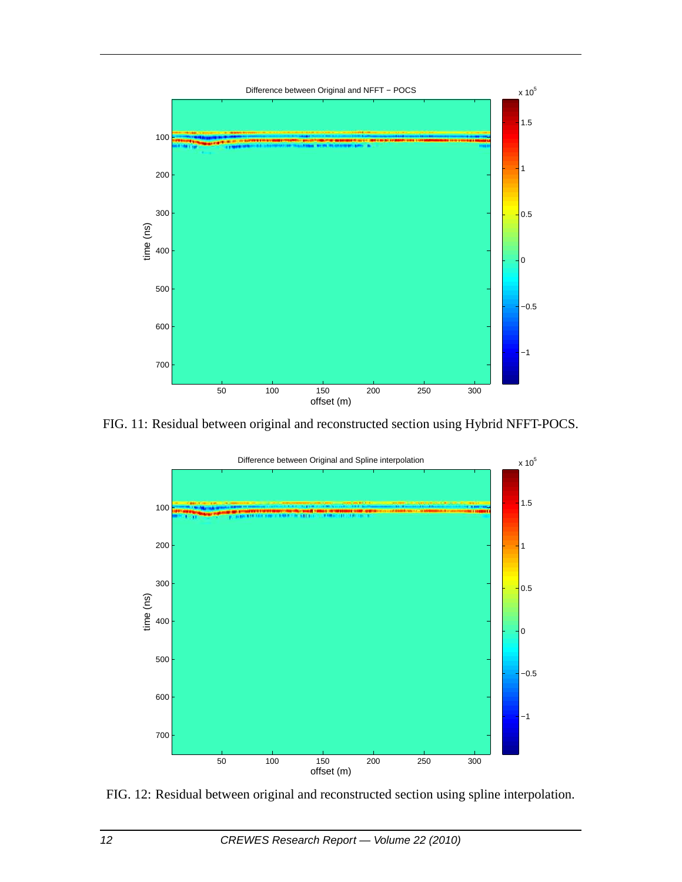

FIG. 11: Residual between original and reconstructed section using Hybrid NFFT-POCS.



FIG. 12: Residual between original and reconstructed section using spline interpolation.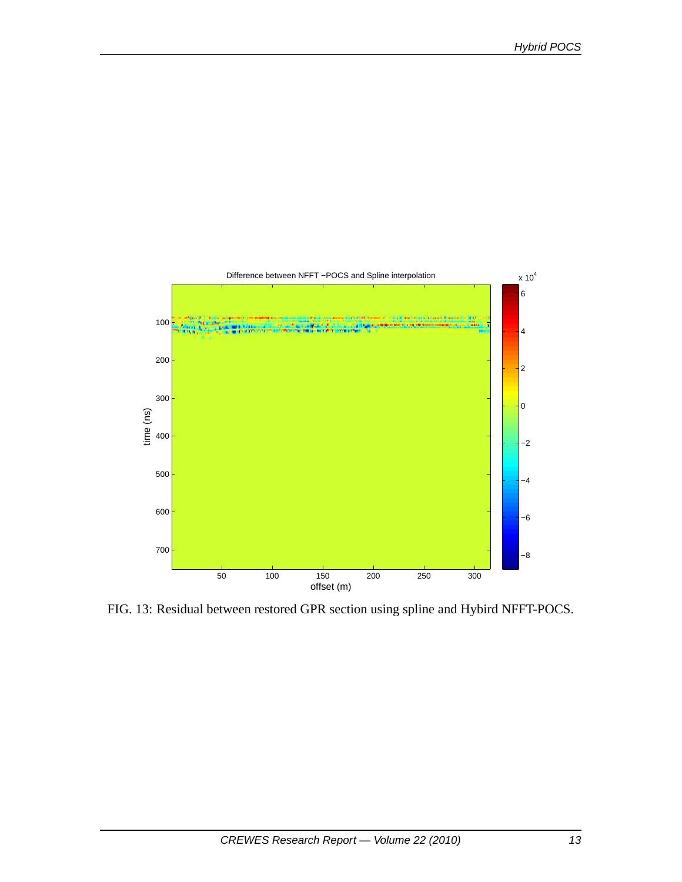![](_page_12_Figure_1.jpeg)

FIG. 13: Residual between restored GPR section using spline and Hybird NFFT-POCS.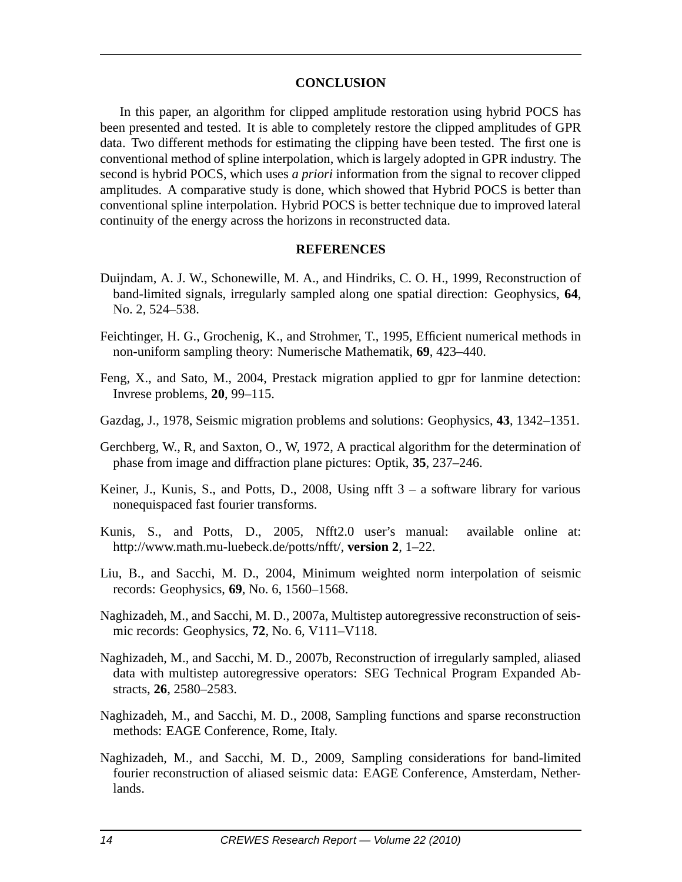### **CONCLUSION**

In this paper, an algorithm for clipped amplitude restoration using hybrid POCS has been presented and tested. It is able to completely restore the clipped amplitudes of GPR data. Two different methods for estimating the clipping have been tested. The first one is conventional method of spline interpolation, which is largely adopted in GPR industry. The second is hybrid POCS, which uses *a priori* information from the signal to recover clipped amplitudes. A comparative study is done, which showed that Hybrid POCS is better than conventional spline interpolation. Hybrid POCS is better technique due to improved lateral continuity of the energy across the horizons in reconstructed data.

#### **REFERENCES**

- Duijndam, A. J. W., Schonewille, M. A., and Hindriks, C. O. H., 1999, Reconstruction of band-limited signals, irregularly sampled along one spatial direction: Geophysics, **64**, No. 2, 524–538.
- Feichtinger, H. G., Grochenig, K., and Strohmer, T., 1995, Efficient numerical methods in non-uniform sampling theory: Numerische Mathematik, **69**, 423–440.
- Feng, X., and Sato, M., 2004, Prestack migration applied to gpr for lanmine detection: Invrese problems, **20**, 99–115.
- Gazdag, J., 1978, Seismic migration problems and solutions: Geophysics, **43**, 1342–1351.
- Gerchberg, W., R, and Saxton, O., W, 1972, A practical algorithm for the determination of phase from image and diffraction plane pictures: Optik, **35**, 237–246.
- Keiner, J., Kunis, S., and Potts, D., 2008, Using nfft  $3 a$  software library for various nonequispaced fast fourier transforms.
- Kunis, S., and Potts, D., 2005, Nfft2.0 user's manual: available online at: http://www.math.mu-luebeck.de/potts/nfft/, **version 2**, 1–22.
- Liu, B., and Sacchi, M. D., 2004, Minimum weighted norm interpolation of seismic records: Geophysics, **69**, No. 6, 1560–1568.
- Naghizadeh, M., and Sacchi, M. D., 2007a, Multistep autoregressive reconstruction of seismic records: Geophysics, **72**, No. 6, V111–V118.
- Naghizadeh, M., and Sacchi, M. D., 2007b, Reconstruction of irregularly sampled, aliased data with multistep autoregressive operators: SEG Technical Program Expanded Abstracts, **26**, 2580–2583.
- Naghizadeh, M., and Sacchi, M. D., 2008, Sampling functions and sparse reconstruction methods: EAGE Conference, Rome, Italy.
- Naghizadeh, M., and Sacchi, M. D., 2009, Sampling considerations for band-limited fourier reconstruction of aliased seismic data: EAGE Conference, Amsterdam, Netherlands.